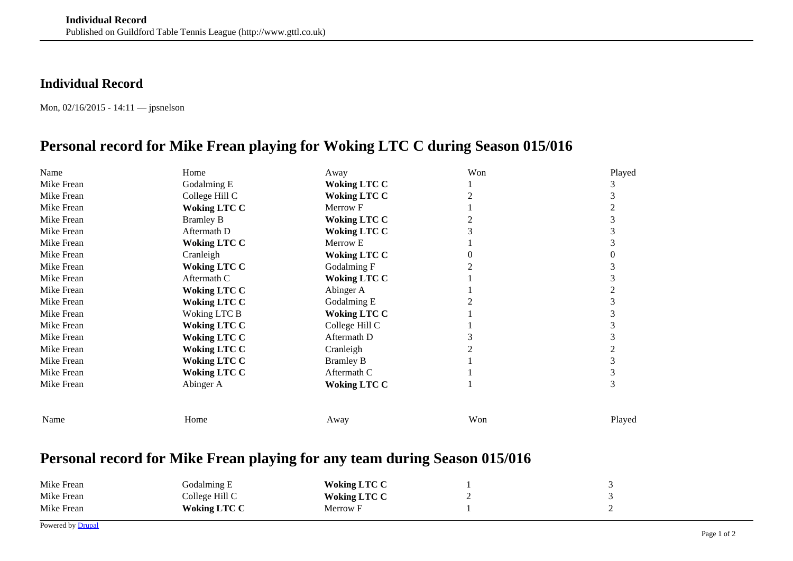## **Individual Record**

Mon, 02/16/2015 - 14:11 — jpsnelson

## **Personal record for Mike Frean playing for Woking LTC C during Season 015/016**

| Name       | Home                | Away                | Won | Played |
|------------|---------------------|---------------------|-----|--------|
| Mike Frean | Godalming E         | <b>Woking LTC C</b> |     |        |
| Mike Frean | College Hill C      | <b>Woking LTC C</b> |     |        |
| Mike Frean | <b>Woking LTC C</b> | Merrow F            |     |        |
| Mike Frean | <b>Bramley B</b>    | <b>Woking LTC C</b> |     |        |
| Mike Frean | Aftermath D         | <b>Woking LTC C</b> |     |        |
| Mike Frean | <b>Woking LTC C</b> | Merrow E            |     |        |
| Mike Frean | Cranleigh           | <b>Woking LTC C</b> |     |        |
| Mike Frean | <b>Woking LTC C</b> | Godalming F         |     |        |
| Mike Frean | Aftermath C         | <b>Woking LTC C</b> |     |        |
| Mike Frean | <b>Woking LTC C</b> | Abinger A           |     |        |
| Mike Frean | <b>Woking LTC C</b> | Godalming E         |     |        |
| Mike Frean | Woking LTC B        | <b>Woking LTC C</b> |     |        |
| Mike Frean | <b>Woking LTC C</b> | College Hill C      |     |        |
| Mike Frean | <b>Woking LTC C</b> | Aftermath D         |     | 3      |
| Mike Frean | <b>Woking LTC C</b> | Cranleigh           |     |        |
| Mike Frean | <b>Woking LTC C</b> | <b>Bramley B</b>    |     |        |
| Mike Frean | <b>Woking LTC C</b> | Aftermath C         |     |        |
| Mike Frean | Abinger A           | <b>Woking LTC C</b> |     | 3      |
|            |                     |                     |     |        |
| Name       | Home                | Away                | Won | Played |

## **Personal record for Mike Frean playing for any team during Season 015/016**

| Mike Frean | Godalming E         | <b>Woking LTC C</b> |  |
|------------|---------------------|---------------------|--|
| Mike Frean | College Hill C      | <b>Woking LTC C</b> |  |
| Mike Frean | <b>Woking LTC C</b> | Merrow F            |  |